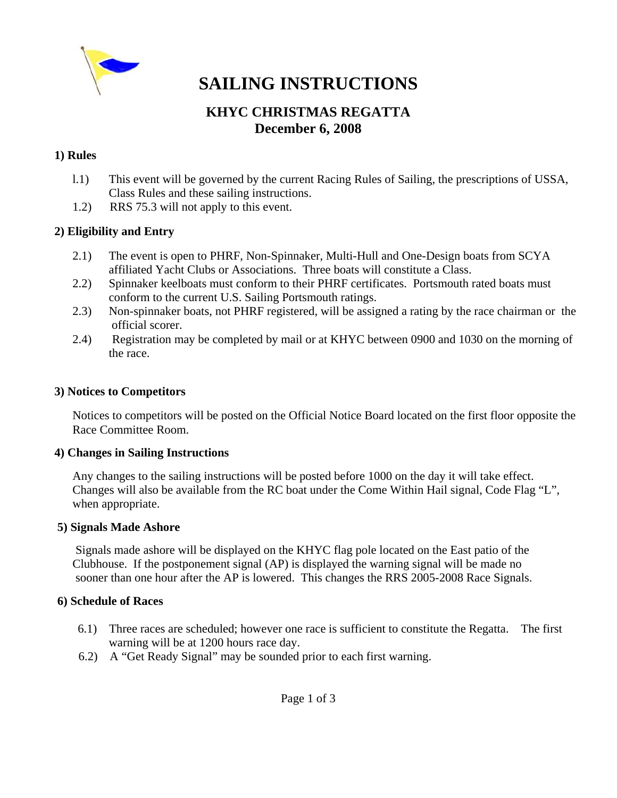

# **SAILING INSTRUCTIONS**

# **KHYC CHRISTMAS REGATTA December 6, 2008**

#### **1) Rules**

- l.1) This event will be governed by the current Racing Rules of Sailing, the prescriptions of USSA, Class Rules and these sailing instructions.
- 1.2) RRS 75.3 will not apply to this event.

#### **2) Eligibility and Entry**

- 2.1)The event is open to PHRF, Non-Spinnaker, Multi-Hull and One-Design boats from SCYA affiliated Yacht Clubs or Associations. Three boats will constitute a Class.
- 2.2) Spinnaker keelboats must conform to their PHRF certificates. Portsmouth rated boats must conform to the current U.S. Sailing Portsmouth ratings.
- 2.3)Non-spinnaker boats, not PHRF registered, will be assigned a rating by the race chairman or the official scorer.
- 2.4) Registration may be completed by mail or at KHYC between 0900 and 1030 on the morning of the race.

#### **3) Notices to Competitors**

 Notices to competitors will be posted on the Official Notice Board located on the first floor opposite the Race Committee Room.

#### **4) Changes in Sailing Instructions**

Any changes to the sailing instructions will be posted before 1000 on the day it will take effect. Changes will also be available from the RC boat under the Come Within Hail signal, Code Flag "L", when appropriate.

#### **5) Signals Made Ashore**

 Signals made ashore will be displayed on the KHYC flag pole located on the East patio of the Clubhouse. If the postponement signal (AP) is displayed the warning signal will be made no sooner than one hour after the AP is lowered. This changes the RRS 2005-2008 Race Signals.

#### **6) Schedule of Races**

- 6.1) Three races are scheduled; however one race is sufficient to constitute the Regatta. The first warning will be at 1200 hours race day.
- 6.2) A "Get Ready Signal" may be sounded prior to each first warning.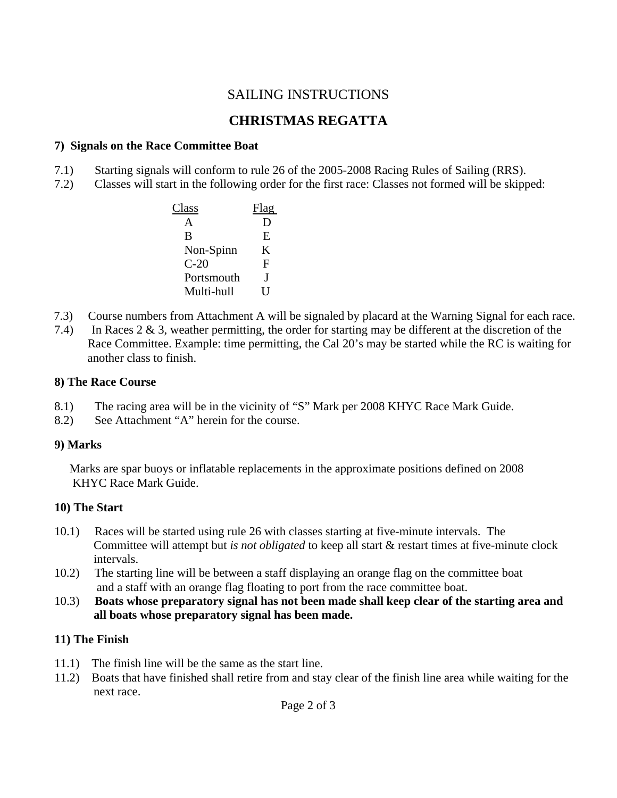# SAILING INSTRUCTIONS

# **CHRISTMAS REGATTA**

#### **7) Signals on the Race Committee Boat**

- 7.1) Starting signals will conform to rule 26 of the 2005-2008 Racing Rules of Sailing (RRS).
- 7.2) Classes will start in the following order for the first race: Classes not formed will be skipped:

| Class      |   |
|------------|---|
|            |   |
| B          | E |
| Non-Spinn  | K |
| $C-20$     | F |
| Portsmouth |   |
| Multi-hull |   |

- 7.3) Course numbers from Attachment A will be signaled by placard at the Warning Signal for each race.
- 7.4) In Races 2 & 3, weather permitting, the order for starting may be different at the discretion of the Race Committee. Example: time permitting, the Cal 20's may be started while the RC is waiting for another class to finish.

#### **8) The Race Course**

- 8.1) The racing area will be in the vicinity of "S" Mark per 2008 KHYC Race Mark Guide.
- 8.2) See Attachment "A" herein for the course.

#### **9) Marks**

 Marks are spar buoys or inflatable replacements in the approximate positions defined on 2008 KHYC Race Mark Guide.

#### **10) The Start**

- 10.1) Races will be started using rule 26 with classes starting at five-minute intervals. The Committee will attempt but *is not obligated* to keep all start & restart times at five-minute clock intervals.
- 10.2) The starting line will be between a staff displaying an orange flag on the committee boat and a staff with an orange flag floating to port from the race committee boat.
- 10.3) **Boats whose preparatory signal has not been made shall keep clear of the starting area and all boats whose preparatory signal has been made.**

#### **11) The Finish**

- 11.1) The finish line will be the same as the start line.
- 11.2) Boats that have finished shall retire from and stay clear of the finish line area while waiting for the next race.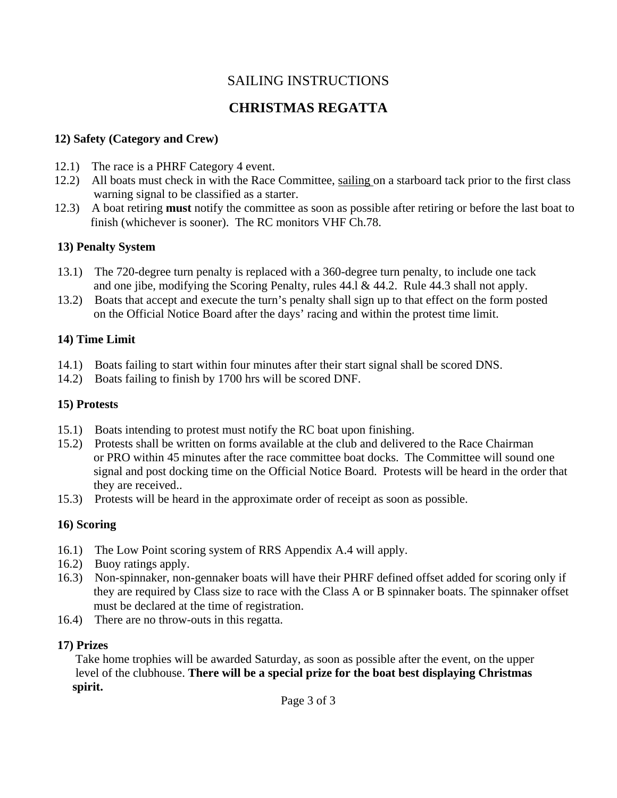# SAILING INSTRUCTIONS

# **CHRISTMAS REGATTA**

### **12) Safety (Category and Crew)**

- 12.1) The race is a PHRF Category 4 event.
- 12.2) All boats must check in with the Race Committee, sailing on a starboard tack prior to the first class warning signal to be classified as a starter.
- 12.3) A boat retiring **must** notify the committee as soon as possible after retiring or before the last boat to finish (whichever is sooner). The RC monitors VHF Ch.78.

# **13) Penalty System**

- 13.1) The 720-degree turn penalty is replaced with a 360-degree turn penalty, to include one tack and one jibe, modifying the Scoring Penalty, rules 44.l & 44.2. Rule 44.3 shall not apply.
- 13.2) Boats that accept and execute the turn's penalty shall sign up to that effect on the form posted on the Official Notice Board after the days' racing and within the protest time limit.

# **14) Time Limit**

- 14.1) Boats failing to start within four minutes after their start signal shall be scored DNS.
- 14.2) Boats failing to finish by 1700 hrs will be scored DNF.

## **15) Protests**

- 15.1) Boats intending to protest must notify the RC boat upon finishing.
- 15.2) Protests shall be written on forms available at the club and delivered to the Race Chairman or PRO within 45 minutes after the race committee boat docks. The Committee will sound one signal and post docking time on the Official Notice Board. Protests will be heard in the order that they are received..
- 15.3) Protests will be heard in the approximate order of receipt as soon as possible.

# **16) Scoring**

- 16.1) The Low Point scoring system of RRS Appendix A.4 will apply.
- 16.2) Buoy ratings apply.
- 16.3) Non-spinnaker, non-gennaker boats will have their PHRF defined offset added for scoring only if they are required by Class size to race with the Class A or B spinnaker boats. The spinnaker offset must be declared at the time of registration.
- 16.4) There are no throw-outs in this regatta.

# **17) Prizes**

 Take home trophies will be awarded Saturday, as soon as possible after the event, on the upper level of the clubhouse. **There will be a special prize for the boat best displaying Christmas spirit.**